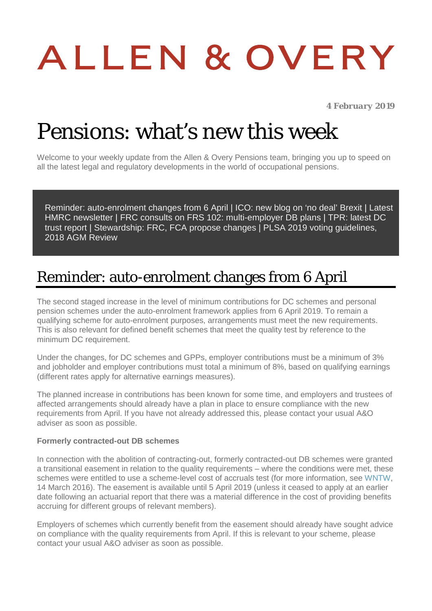# ALLEN & OVERY

*4 February 2019*

## Pensions: what's new this week

Welcome to your weekly update from the Allen & Overy Pensions team, bringing you up to speed on all the latest legal and regulatory developments in the world of occupational pensions.

[Reminder: auto-enrolment changes from 6 April](#page-0-0) | [ICO: new blog on 'no deal' Brexit](#page-1-0) | [Latest](#page-1-1)  [HMRC newsletter](#page-1-1) | [FRC consults on FRS 102: multi-employer DB plans](#page-1-2) | [TPR: latest DC](#page-1-3)  [trust report](#page-1-3) | [Stewardship: FRC, FCA propose changes |](#page-2-0) [PLSA 2019 voting guidelines,](#page-3-0)  [2018 AGM Review](#page-3-0)

#### <span id="page-0-0"></span>Reminder: auto-enrolment changes from 6 April

The second staged increase in the level of minimum contributions for DC schemes and personal pension schemes under the auto-enrolment framework applies from 6 April 2019. To remain a qualifying scheme for auto-enrolment purposes, arrangements must meet the new requirements. This is also relevant for defined benefit schemes that meet the quality test by reference to the minimum DC requirement.

Under the changes, for DC schemes and GPPs, employer contributions must be a minimum of 3% and jobholder and employer contributions must total a minimum of 8%, based on qualifying earnings (different rates apply for alternative earnings measures).

The planned increase in contributions has been known for some time, and employers and trustees of affected arrangements should already have a plan in place to ensure compliance with the new requirements from April. If you have not already addressed this, please contact your usual A&O adviser as soon as possible.

#### **Formerly contracted-out DB schemes**

In connection with the abolition of contracting-out, formerly contracted-out DB schemes were granted a transitional easement in relation to the quality requirements – where the conditions were met, these schemes were entitled to use a scheme-level cost of accruals test (for more information, see [WNTW,](https://www.aohub.com/aohub/publications/pensions-what-s-new-this-week-internal_34_1?nav=FRbANEucS95NMLRN47z%2BeeOgEFCt8EGQ71hKXzqW2Ec%3D&key=BcJlhLtdCv6%2FJTDZxvL23TQa3JHL2AIGr93BnQjo2SkGJpG9xDX7S2thDpAQsCconWHAwe6cJTk%2BP%2Fi3UANjfT2L%2BEiiz68X) 14 March 2016). The easement is available until 5 April 2019 (unless it ceased to apply at an earlier date following an actuarial report that there was a material difference in the cost of providing benefits accruing for different groups of relevant members).

Employers of schemes which currently benefit from the easement should already have sought advice on compliance with the quality requirements from April. If this is relevant to your scheme, please contact your usual A&O adviser as soon as possible.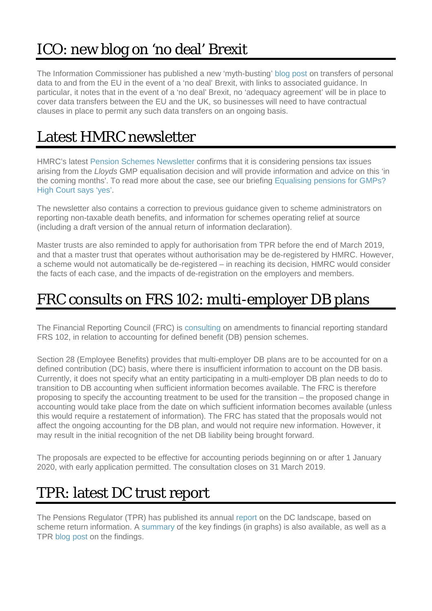#### <span id="page-1-0"></span>ICO: new blog on 'no deal' Brexit

The Information Commissioner has published a new 'myth-busting' [blog post](https://ico.org.uk/about-the-ico/news-and-events/blog-how-will-personal-data-continue-to-flow-after-brexit/) on transfers of personal data to and from the EU in the event of a 'no deal' Brexit, with links to associated guidance. In particular, it notes that in the event of a 'no deal' Brexit, no 'adequacy agreement' will be in place to cover data transfers between the EU and the UK, so businesses will need to have contractual clauses in place to permit any such data transfers on an ongoing basis.

#### <span id="page-1-1"></span>Latest HMRC newsletter

HMRC's latest [Pension Schemes Newsletter](https://www.gov.uk/government/publications/pension-schemes-newsletter-106-january-2019/pension-schemes-newsletter-106-january-2019) confirms that it is considering pensions tax issues arising from the *Lloyds* GMP equalisation decision and will provide information and advice on this 'in the coming months'. To read more about the case, see our briefing [Equalising pensions for GMPs?](https://www.aohub.com/aohub/publications/equalising-pensions-for-gmps-high-court-says-yes_1?nav=FRbANEucS95NMLRN47z%2BeeOgEFCt8EGQ71hKXzqW2Ec%3D&key=BcJlhLtdCv6%2FJTDZxvL23TQa3JHL2AIGr93BnQjo2SkGJpG9xDX7S2thDpAQsCconWHAwe6cJTmnmp2YcplrOaoOPiGX4nYV)  [High Court says 'yes'.](https://www.aohub.com/aohub/publications/equalising-pensions-for-gmps-high-court-says-yes_1?nav=FRbANEucS95NMLRN47z%2BeeOgEFCt8EGQ71hKXzqW2Ec%3D&key=BcJlhLtdCv6%2FJTDZxvL23TQa3JHL2AIGr93BnQjo2SkGJpG9xDX7S2thDpAQsCconWHAwe6cJTmnmp2YcplrOaoOPiGX4nYV)

The newsletter also contains a correction to previous guidance given to scheme administrators on reporting non-taxable death benefits, and information for schemes operating relief at source (including a draft version of the annual return of information declaration).

Master trusts are also reminded to apply for authorisation from TPR before the end of March 2019, and that a master trust that operates without authorisation may be de-registered by HMRC. However, a scheme would not automatically be de-registered – in reaching its decision, HMRC would consider the facts of each case, and the impacts of de-registration on the employers and members.

#### <span id="page-1-2"></span>FRC consults on FRS 102: multi-employer DB plans

The Financial Reporting Council (FRC) is [consulting](https://www.frc.org.uk/getattachment/abf65db9-adc1-4879-9e6c-ce47860e0056/;.aspx) on amendments to financial reporting standard FRS 102, in relation to accounting for defined benefit (DB) pension schemes.

Section 28 (Employee Benefits) provides that multi-employer DB plans are to be accounted for on a defined contribution (DC) basis, where there is insufficient information to account on the DB basis. Currently, it does not specify what an entity participating in a multi-employer DB plan needs to do to transition to DB accounting when sufficient information becomes available. The FRC is therefore proposing to specify the accounting treatment to be used for the transition – the proposed change in accounting would take place from the date on which sufficient information becomes available (unless this would require a restatement of information). The FRC has stated that the proposals would not affect the ongoing accounting for the DB plan, and would not require new information. However, it may result in the initial recognition of the net DB liability being brought forward.

The proposals are expected to be effective for accounting periods beginning on or after 1 January 2020, with early application permitted. The consultation closes on 31 March 2019.

#### <span id="page-1-3"></span>TPR: latest DC trust report

The Pensions Regulator (TPR) has published its annual [report](https://www.thepensionsregulator.gov.uk/en/document-library/research-and-analysis/dc-trust-presentation-of-scheme-return-data-2018-2019) on the DC landscape, based on scheme return information. A [summary](https://www.thepensionsregulator.gov.uk/-/media/thepensionsregulator/files/import/file/dc-trust-landscape-graphs-2019.ashx?la=en&hash=8DE62D6B5F0598EA12059830AD59633276BA886F) of the key findings (in graphs) is also available, as well as a TPR [blog post](https://blog.thepensionsregulator.gov.uk/2019/01/31/dc-growth-indicates-automatic-enrolment-is-starting-to-mature/) on the findings.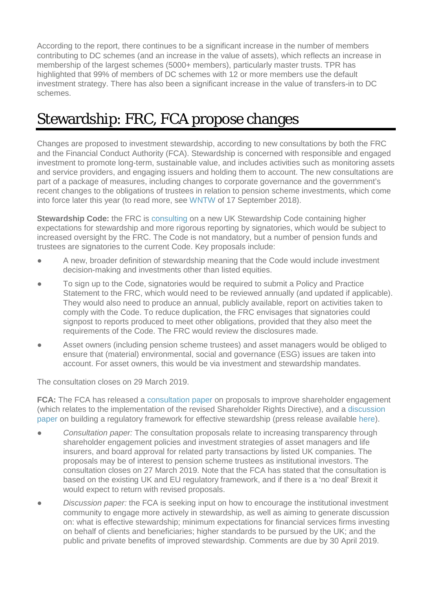According to the report, there continues to be a significant increase in the number of members contributing to DC schemes (and an increase in the value of assets), which reflects an increase in membership of the largest schemes (5000+ members), particularly master trusts. TPR has highlighted that 99% of members of DC schemes with 12 or more members use the default investment strategy. There has also been a significant increase in the value of transfers-in to DC schemes.

#### <span id="page-2-0"></span>Stewardship: FRC, FCA propose changes

Changes are proposed to investment stewardship, according to new consultations by both the FRC and the Financial Conduct Authority (FCA). Stewardship is concerned with responsible and engaged investment to promote long-term, sustainable value, and includes activities such as monitoring assets and service providers, and engaging issuers and holding them to account. The new consultations are part of a package of measures, including changes to corporate governance and the government's recent changes to the obligations of trustees in relation to pension scheme investments, which come into force later this year (to read more, see [WNTW](https://www.aohub.com/aohub/publications/pensions-whats-new-this-week_71?nav=FRbANEucS95NMLRN47z%2BeeOgEFCt8EGQTBTrTXtG0BY%3D&key=BcJlhLtdCv6%2FJTDZxvL23TQa3JHL2AIGr93BnQjo2SkGJpG9xDX7S2thDpAQsCconWHAwe6cJTm8objxPbXeS7pskrooXVOA&uid=JAI3emRuMU4%3D&emkey=Y0A%2FRtXWaHXsdy7ae3QRz%2BDkp5pWPvXNc%2BKPER9pVac%3D&utm_medium=email&utm_source=email-to-friend) of 17 September 2018).

**Stewardship Code:** the FRC is [consulting](https://www.frc.org.uk/consultation-list/2019/consulting-on-a-revised-uk-stewardship-code) on a new UK Stewardship Code containing higher expectations for stewardship and more rigorous reporting by signatories, which would be subject to increased oversight by the FRC. The Code is not mandatory, but a number of pension funds and trustees are signatories to the current Code. Key proposals include:

- A new, broader definition of stewardship meaning that the Code would include investment decision-making and investments other than listed equities.
- To sign up to the Code, signatories would be required to submit a Policy and Practice Statement to the FRC, which would need to be reviewed annually (and updated if applicable). They would also need to produce an annual, publicly available, report on activities taken to comply with the Code. To reduce duplication, the FRC envisages that signatories could signpost to reports produced to meet other obligations, provided that they also meet the requirements of the Code. The FRC would review the disclosures made.
- Asset owners (including pension scheme trustees) and asset managers would be obliged to ensure that (material) environmental, social and governance (ESG) issues are taken into account. For asset owners, this would be via investment and stewardship mandates.

The consultation closes on 29 March 2019.

**FCA:** The FCA has released a [consultation paper](https://www.fca.org.uk/publications/consultation-papers/cp19-7-consultation-proposals-improve-shareholder-engagement) on proposals to improve shareholder engagement (which relates to the implementation of the revised Shareholder Rights Directive), and a [discussion](https://www.fca.org.uk/publications/discussion-papers/dp19-1-building-a-regulatory-framework-effective-stewardship)  [paper](https://www.fca.org.uk/publications/discussion-papers/dp19-1-building-a-regulatory-framework-effective-stewardship) on building a regulatory framework for effective stewardship (press release available [here\)](https://www.fca.org.uk/news/news-stories/fca-proposes-new-measures-encourage-effective-stewardship).

- *Consultation paper:* The consultation proposals relate to increasing transparency through shareholder engagement policies and investment strategies of asset managers and life insurers, and board approval for related party transactions by listed UK companies. The proposals may be of interest to pension scheme trustees as institutional investors. The consultation closes on 27 March 2019. Note that the FCA has stated that the consultation is based on the existing UK and EU regulatory framework, and if there is a 'no deal' Brexit it would expect to return with revised proposals.
- *Discussion paper:* the FCA is seeking input on how to encourage the institutional investment community to engage more actively in stewardship, as well as aiming to generate discussion on: what is effective stewardship; minimum expectations for financial services firms investing on behalf of clients and beneficiaries; higher standards to be pursued by the UK; and the public and private benefits of improved stewardship. Comments are due by 30 April 2019.